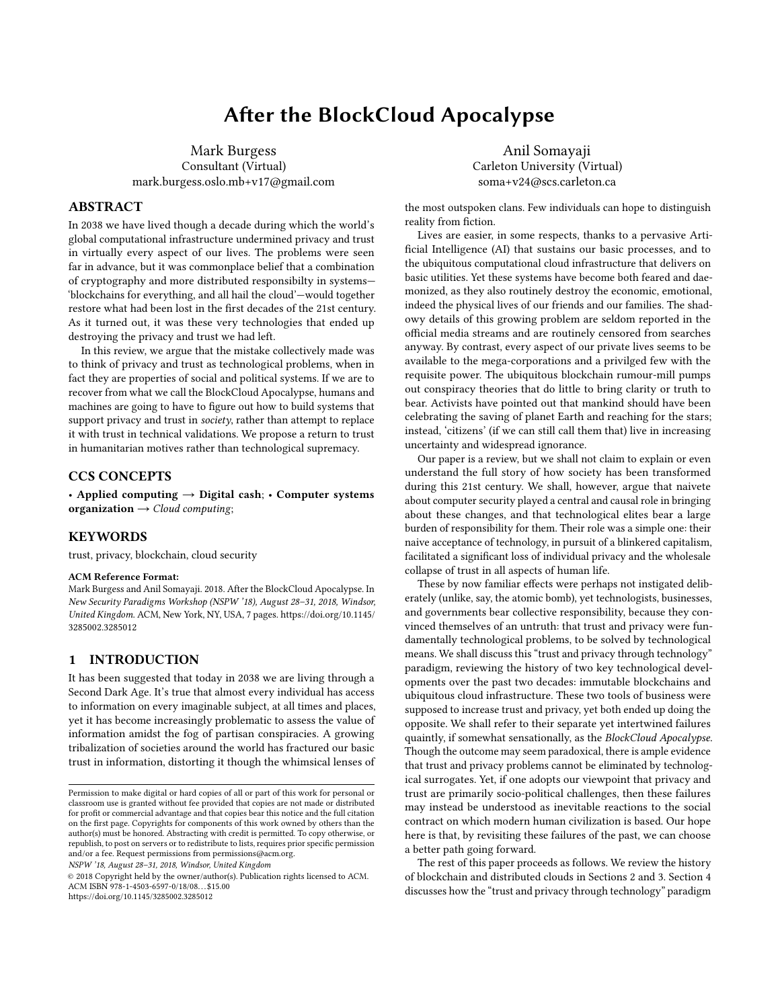# After the BlockCloud Apocalypse

Mark Burgess Consultant (Virtual) mark.burgess.oslo.mb+v17@gmail.com

# ABSTRACT

In 2038 we have lived though a decade during which the world's global computational infrastructure undermined privacy and trust in virtually every aspect of our lives. The problems were seen far in advance, but it was commonplace belief that a combination of cryptography and more distributed responsibilty in systems— 'blockchains for everything, and all hail the cloud'—would together restore what had been lost in the first decades of the 21st century. As it turned out, it was these very technologies that ended up destroying the privacy and trust we had left.

In this review, we argue that the mistake collectively made was to think of privacy and trust as technological problems, when in fact they are properties of social and political systems. If we are to recover from what we call the BlockCloud Apocalypse, humans and machines are going to have to figure out how to build systems that support privacy and trust in society, rather than attempt to replace it with trust in technical validations. We propose a return to trust in humanitarian motives rather than technological supremacy.

#### CCS CONCEPTS

• Applied computing  $\rightarrow$  Digital cash; • Computer systems organization  $\rightarrow$  Cloud computing;

#### **KEYWORDS**

trust, privacy, blockchain, cloud security

#### ACM Reference Format:

Mark Burgess and Anil Somayaji. 2018. After the BlockCloud Apocalypse. In New Security Paradigms Workshop (NSPW '18), August 28–31, 2018, Windsor, United Kingdom. ACM, New York, NY, USA, [7](#page-6-0) pages. [https://doi.org/10.1145/](https://doi.org/10.1145/3285002.3285012) [3285002.3285012](https://doi.org/10.1145/3285002.3285012)

## 1 INTRODUCTION

It has been suggested that today in 2038 we are living through a Second Dark Age. It's true that almost every individual has access to information on every imaginable subject, at all times and places, yet it has become increasingly problematic to assess the value of information amidst the fog of partisan conspiracies. A growing tribalization of societies around the world has fractured our basic trust in information, distorting it though the whimsical lenses of

NSPW '18, August 28–31, 2018, Windsor, United Kingdom

© 2018 Copyright held by the owner/author(s). Publication rights licensed to ACM. ACM ISBN 978-1-4503-6597-0/18/08. . . \$15.00 <https://doi.org/10.1145/3285002.3285012>

Anil Somayaji Carleton University (Virtual) soma+v24@scs.carleton.ca

the most outspoken clans. Few individuals can hope to distinguish reality from fiction.

Lives are easier, in some respects, thanks to a pervasive Artificial Intelligence (AI) that sustains our basic processes, and to the ubiquitous computational cloud infrastructure that delivers on basic utilities. Yet these systems have become both feared and daemonized, as they also routinely destroy the economic, emotional, indeed the physical lives of our friends and our families. The shadowy details of this growing problem are seldom reported in the official media streams and are routinely censored from searches anyway. By contrast, every aspect of our private lives seems to be available to the mega-corporations and a privilged few with the requisite power. The ubiquitous blockchain rumour-mill pumps out conspiracy theories that do little to bring clarity or truth to bear. Activists have pointed out that mankind should have been celebrating the saving of planet Earth and reaching for the stars; instead, 'citizens' (if we can still call them that) live in increasing uncertainty and widespread ignorance.

Our paper is a review, but we shall not claim to explain or even understand the full story of how society has been transformed during this 21st century. We shall, however, argue that naivete about computer security played a central and causal role in bringing about these changes, and that technological elites bear a large burden of responsibility for them. Their role was a simple one: their naive acceptance of technology, in pursuit of a blinkered capitalism, facilitated a significant loss of individual privacy and the wholesale collapse of trust in all aspects of human life.

These by now familiar effects were perhaps not instigated deliberately (unlike, say, the atomic bomb), yet technologists, businesses, and governments bear collective responsibility, because they convinced themselves of an untruth: that trust and privacy were fundamentally technological problems, to be solved by technological means. We shall discuss this "trust and privacy through technology" paradigm, reviewing the history of two key technological developments over the past two decades: immutable blockchains and ubiquitous cloud infrastructure. These two tools of business were supposed to increase trust and privacy, yet both ended up doing the opposite. We shall refer to their separate yet intertwined failures quaintly, if somewhat sensationally, as the BlockCloud Apocalypse. Though the outcome may seem paradoxical, there is ample evidence that trust and privacy problems cannot be eliminated by technological surrogates. Yet, if one adopts our viewpoint that privacy and trust are primarily socio-political challenges, then these failures may instead be understood as inevitable reactions to the social contract on which modern human civilization is based. Our hope here is that, by revisiting these failures of the past, we can choose a better path going forward.

The rest of this paper proceeds as follows. We review the history of blockchain and distributed clouds in Sections 2 and 3. Section 4 discusses how the "trust and privacy through technology" paradigm

Permission to make digital or hard copies of all or part of this work for personal or classroom use is granted without fee provided that copies are not made or distributed for profit or commercial advantage and that copies bear this notice and the full citation on the first page. Copyrights for components of this work owned by others than the author(s) must be honored. Abstracting with credit is permitted. To copy otherwise, or republish, to post on servers or to redistribute to lists, requires prior specific permission and/or a fee. Request permissions from permissions@acm.org.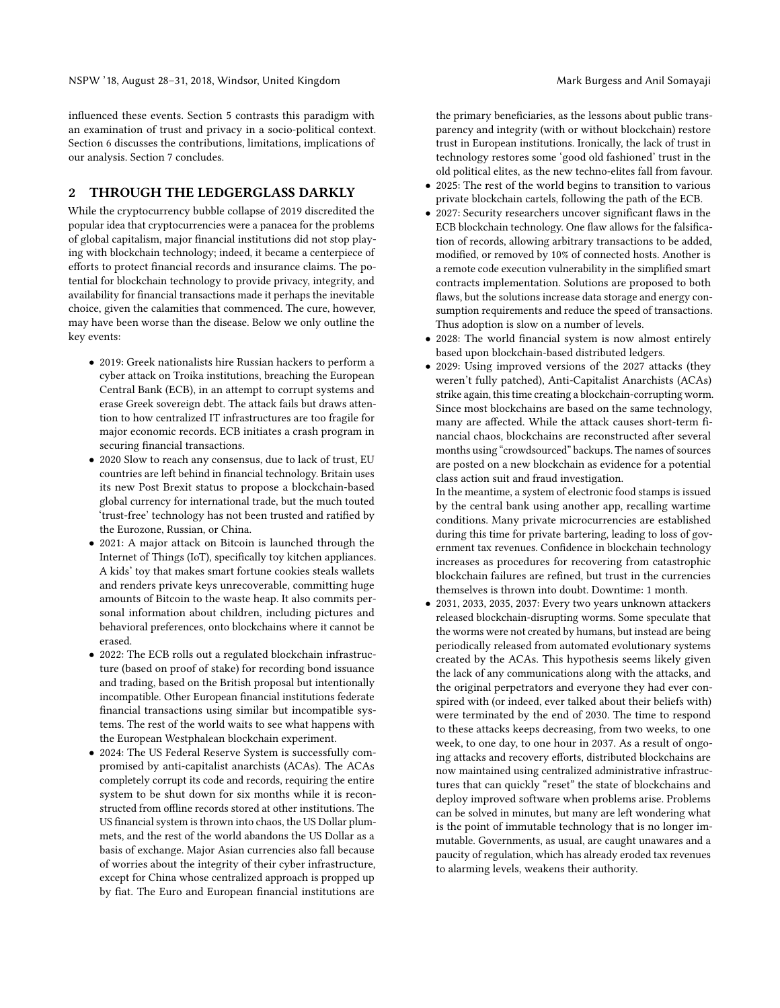influenced these events. Section 5 contrasts this paradigm with an examination of trust and privacy in a socio-political context. Section 6 discusses the contributions, limitations, implications of our analysis. Section 7 concludes.

#### 2 THROUGH THE LEDGERGLASS DARKLY

While the cryptocurrency bubble collapse of 2019 discredited the popular idea that cryptocurrencies were a panacea for the problems of global capitalism, major financial institutions did not stop playing with blockchain technology; indeed, it became a centerpiece of efforts to protect financial records and insurance claims. The potential for blockchain technology to provide privacy, integrity, and availability for financial transactions made it perhaps the inevitable choice, given the calamities that commenced. The cure, however, may have been worse than the disease. Below we only outline the key events:

- 2019: Greek nationalists hire Russian hackers to perform a cyber attack on Troika institutions, breaching the European Central Bank (ECB), in an attempt to corrupt systems and erase Greek sovereign debt. The attack fails but draws attention to how centralized IT infrastructures are too fragile for major economic records. ECB initiates a crash program in securing financial transactions.
- 2020 Slow to reach any consensus, due to lack of trust, EU countries are left behind in financial technology. Britain uses its new Post Brexit status to propose a blockchain-based global currency for international trade, but the much touted 'trust-free' technology has not been trusted and ratified by the Eurozone, Russian, or China.
- 2021: A major attack on Bitcoin is launched through the Internet of Things (IoT), specifically toy kitchen appliances. A kids' toy that makes smart fortune cookies steals wallets and renders private keys unrecoverable, committing huge amounts of Bitcoin to the waste heap. It also commits personal information about children, including pictures and behavioral preferences, onto blockchains where it cannot be erased.
- 2022: The ECB rolls out a regulated blockchain infrastructure (based on proof of stake) for recording bond issuance and trading, based on the British proposal but intentionally incompatible. Other European financial institutions federate financial transactions using similar but incompatible systems. The rest of the world waits to see what happens with the European Westphalean blockchain experiment.
- 2024: The US Federal Reserve System is successfully compromised by anti-capitalist anarchists (ACAs). The ACAs completely corrupt its code and records, requiring the entire system to be shut down for six months while it is reconstructed from offline records stored at other institutions. The US financial system is thrown into chaos, the US Dollar plummets, and the rest of the world abandons the US Dollar as a basis of exchange. Major Asian currencies also fall because of worries about the integrity of their cyber infrastructure, except for China whose centralized approach is propped up by fiat. The Euro and European financial institutions are

the primary beneficiaries, as the lessons about public transparency and integrity (with or without blockchain) restore trust in European institutions. Ironically, the lack of trust in technology restores some 'good old fashioned' trust in the old political elites, as the new techno-elites fall from favour.

- 2025: The rest of the world begins to transition to various private blockchain cartels, following the path of the ECB.
- 2027: Security researchers uncover significant flaws in the ECB blockchain technology. One flaw allows for the falsification of records, allowing arbitrary transactions to be added, modified, or removed by 10% of connected hosts. Another is a remote code execution vulnerability in the simplified smart contracts implementation. Solutions are proposed to both flaws, but the solutions increase data storage and energy consumption requirements and reduce the speed of transactions. Thus adoption is slow on a number of levels.
- 2028: The world financial system is now almost entirely based upon blockchain-based distributed ledgers.
- 2029: Using improved versions of the 2027 attacks (they weren't fully patched), Anti-Capitalist Anarchists (ACAs) strike again, this time creating a blockchain-corrupting worm. Since most blockchains are based on the same technology, many are affected. While the attack causes short-term financial chaos, blockchains are reconstructed after several months using "crowdsourced" backups. The names of sources are posted on a new blockchain as evidence for a potential class action suit and fraud investigation.

In the meantime, a system of electronic food stamps is issued by the central bank using another app, recalling wartime conditions. Many private microcurrencies are established during this time for private bartering, leading to loss of government tax revenues. Confidence in blockchain technology increases as procedures for recovering from catastrophic blockchain failures are refined, but trust in the currencies themselves is thrown into doubt. Downtime: 1 month.

• 2031, 2033, 2035, 2037: Every two years unknown attackers released blockchain-disrupting worms. Some speculate that the worms were not created by humans, but instead are being periodically released from automated evolutionary systems created by the ACAs. This hypothesis seems likely given the lack of any communications along with the attacks, and the original perpetrators and everyone they had ever conspired with (or indeed, ever talked about their beliefs with) were terminated by the end of 2030. The time to respond to these attacks keeps decreasing, from two weeks, to one week, to one day, to one hour in 2037. As a result of ongoing attacks and recovery efforts, distributed blockchains are now maintained using centralized administrative infrastructures that can quickly "reset" the state of blockchains and deploy improved software when problems arise. Problems can be solved in minutes, but many are left wondering what is the point of immutable technology that is no longer immutable. Governments, as usual, are caught unawares and a paucity of regulation, which has already eroded tax revenues to alarming levels, weakens their authority.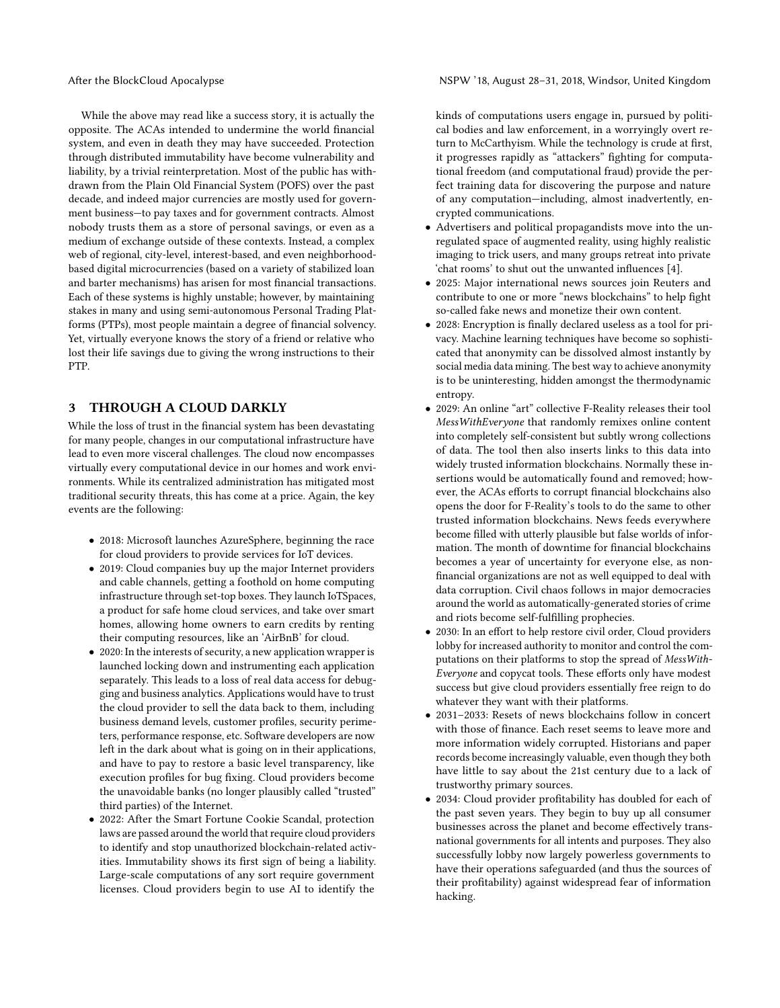While the above may read like a success story, it is actually the opposite. The ACAs intended to undermine the world financial system, and even in death they may have succeeded. Protection through distributed immutability have become vulnerability and liability, by a trivial reinterpretation. Most of the public has withdrawn from the Plain Old Financial System (POFS) over the past decade, and indeed major currencies are mostly used for government business—to pay taxes and for government contracts. Almost nobody trusts them as a store of personal savings, or even as a medium of exchange outside of these contexts. Instead, a complex web of regional, city-level, interest-based, and even neighborhoodbased digital microcurrencies (based on a variety of stabilized loan and barter mechanisms) has arisen for most financial transactions. Each of these systems is highly unstable; however, by maintaining stakes in many and using semi-autonomous Personal Trading Platforms (PTPs), most people maintain a degree of financial solvency. Yet, virtually everyone knows the story of a friend or relative who lost their life savings due to giving the wrong instructions to their PTP.

### 3 THROUGH A CLOUD DARKLY

While the loss of trust in the financial system has been devastating for many people, changes in our computational infrastructure have lead to even more visceral challenges. The cloud now encompasses virtually every computational device in our homes and work environments. While its centralized administration has mitigated most traditional security threats, this has come at a price. Again, the key events are the following:

- 2018: Microsoft launches AzureSphere, beginning the race for cloud providers to provide services for IoT devices.
- 2019: Cloud companies buy up the major Internet providers and cable channels, getting a foothold on home computing infrastructure through set-top boxes. They launch IoTSpaces, a product for safe home cloud services, and take over smart homes, allowing home owners to earn credits by renting their computing resources, like an 'AirBnB' for cloud.
- 2020: In the interests of security, a new application wrapper is launched locking down and instrumenting each application separately. This leads to a loss of real data access for debugging and business analytics. Applications would have to trust the cloud provider to sell the data back to them, including business demand levels, customer profiles, security perimeters, performance response, etc. Software developers are now left in the dark about what is going on in their applications, and have to pay to restore a basic level transparency, like execution profiles for bug fixing. Cloud providers become the unavoidable banks (no longer plausibly called "trusted" third parties) of the Internet.
- 2022: After the Smart Fortune Cookie Scandal, protection laws are passed around the world that require cloud providers to identify and stop unauthorized blockchain-related activities. Immutability shows its first sign of being a liability. Large-scale computations of any sort require government licenses. Cloud providers begin to use AI to identify the

After the BlockCloud Apocalypse NSPW '18, August 28-31, 2018, Windsor, United Kingdom

kinds of computations users engage in, pursued by political bodies and law enforcement, in a worryingly overt return to McCarthyism. While the technology is crude at first, it progresses rapidly as "attackers" fighting for computational freedom (and computational fraud) provide the perfect training data for discovering the purpose and nature of any computation—including, almost inadvertently, encrypted communications.

- Advertisers and political propagandists move into the unregulated space of augmented reality, using highly realistic imaging to trick users, and many groups retreat into private 'chat rooms' to shut out the unwanted influences [\[4\]](#page-6-1).
- 2025: Major international news sources join Reuters and contribute to one or more "news blockchains" to help fight so-called fake news and monetize their own content.
- 2028: Encryption is finally declared useless as a tool for privacy. Machine learning techniques have become so sophisticated that anonymity can be dissolved almost instantly by social media data mining. The best way to achieve anonymity is to be uninteresting, hidden amongst the thermodynamic entropy.
- 2029: An online "art" collective F-Reality releases their tool MessWithEveryone that randomly remixes online content into completely self-consistent but subtly wrong collections of data. The tool then also inserts links to this data into widely trusted information blockchains. Normally these insertions would be automatically found and removed; however, the ACAs efforts to corrupt financial blockchains also opens the door for F-Reality's tools to do the same to other trusted information blockchains. News feeds everywhere become filled with utterly plausible but false worlds of information. The month of downtime for financial blockchains becomes a year of uncertainty for everyone else, as nonfinancial organizations are not as well equipped to deal with data corruption. Civil chaos follows in major democracies around the world as automatically-generated stories of crime and riots become self-fulfilling prophecies.
- 2030: In an effort to help restore civil order, Cloud providers lobby for increased authority to monitor and control the computations on their platforms to stop the spread of MessWith-Everyone and copycat tools. These efforts only have modest success but give cloud providers essentially free reign to do whatever they want with their platforms.
- 2031–2033: Resets of news blockchains follow in concert with those of finance. Each reset seems to leave more and more information widely corrupted. Historians and paper records become increasingly valuable, even though they both have little to say about the 21st century due to a lack of trustworthy primary sources.
- 2034: Cloud provider profitability has doubled for each of the past seven years. They begin to buy up all consumer businesses across the planet and become effectively transnational governments for all intents and purposes. They also successfully lobby now largely powerless governments to have their operations safeguarded (and thus the sources of their profitability) against widespread fear of information hacking.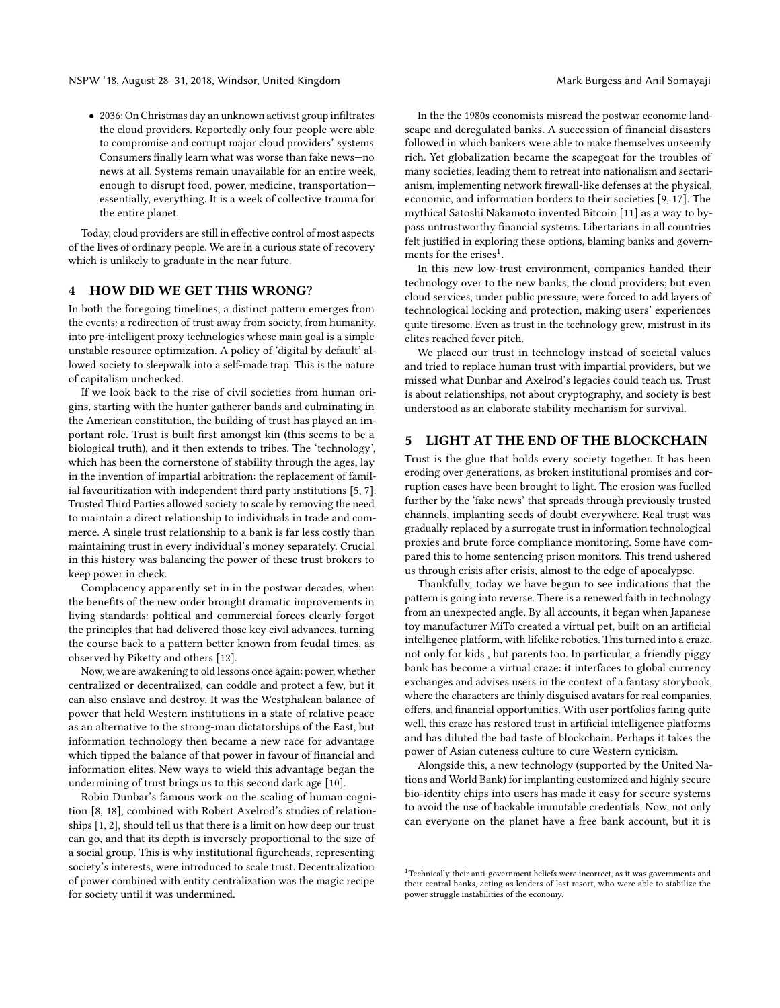• 2036: On Christmas day an unknown activist group infiltrates the cloud providers. Reportedly only four people were able to compromise and corrupt major cloud providers' systems. Consumers finally learn what was worse than fake news—no news at all. Systems remain unavailable for an entire week, enough to disrupt food, power, medicine, transportation essentially, everything. It is a week of collective trauma for the entire planet.

Today, cloud providers are still in effective control of most aspects of the lives of ordinary people. We are in a curious state of recovery which is unlikely to graduate in the near future.

### 4 HOW DID WE GET THIS WRONG?

In both the foregoing timelines, a distinct pattern emerges from the events: a redirection of trust away from society, from humanity, into pre-intelligent proxy technologies whose main goal is a simple unstable resource optimization. A policy of 'digital by default' allowed society to sleepwalk into a self-made trap. This is the nature of capitalism unchecked.

If we look back to the rise of civil societies from human origins, starting with the hunter gatherer bands and culminating in the American constitution, the building of trust has played an important role. Trust is built first amongst kin (this seems to be a biological truth), and it then extends to tribes. The 'technology', which has been the cornerstone of stability through the ages, lay in the invention of impartial arbitration: the replacement of familial favouritization with independent third party institutions [\[5,](#page-6-2) [7\]](#page-6-3). Trusted Third Parties allowed society to scale by removing the need to maintain a direct relationship to individuals in trade and commerce. A single trust relationship to a bank is far less costly than maintaining trust in every individual's money separately. Crucial in this history was balancing the power of these trust brokers to keep power in check.

Complacency apparently set in in the postwar decades, when the benefits of the new order brought dramatic improvements in living standards: political and commercial forces clearly forgot the principles that had delivered those key civil advances, turning the course back to a pattern better known from feudal times, as observed by Piketty and others [\[12\]](#page-6-4).

Now, we are awakening to old lessons once again: power, whether centralized or decentralized, can coddle and protect a few, but it can also enslave and destroy. It was the Westphalean balance of power that held Western institutions in a state of relative peace as an alternative to the strong-man dictatorships of the East, but information technology then became a new race for advantage which tipped the balance of that power in favour of financial and information elites. New ways to wield this advantage began the undermining of trust brings us to this second dark age [\[10\]](#page-6-5).

Robin Dunbar's famous work on the scaling of human cognition [\[8,](#page-6-6) [18\]](#page-6-7), combined with Robert Axelrod's studies of relationships [\[1,](#page-6-8) [2\]](#page-6-9), should tell us that there is a limit on how deep our trust can go, and that its depth is inversely proportional to the size of a social group. This is why institutional figureheads, representing society's interests, were introduced to scale trust. Decentralization of power combined with entity centralization was the magic recipe for society until it was undermined.

In the the 1980s economists misread the postwar economic landscape and deregulated banks. A succession of financial disasters followed in which bankers were able to make themselves unseemly rich. Yet globalization became the scapegoat for the troubles of many societies, leading them to retreat into nationalism and sectarianism, implementing network firewall-like defenses at the physical, economic, and information borders to their societies [\[9,](#page-6-10) [17\]](#page-6-11). The mythical Satoshi Nakamoto invented Bitcoin [\[11\]](#page-6-12) as a way to bypass untrustworthy financial systems. Libertarians in all countries felt justified in exploring these options, blaming banks and govern-ments for the crises<sup>[1](#page-3-0)</sup>.

In this new low-trust environment, companies handed their technology over to the new banks, the cloud providers; but even cloud services, under public pressure, were forced to add layers of technological locking and protection, making users' experiences quite tiresome. Even as trust in the technology grew, mistrust in its elites reached fever pitch.

We placed our trust in technology instead of societal values and tried to replace human trust with impartial providers, but we missed what Dunbar and Axelrod's legacies could teach us. Trust is about relationships, not about cryptography, and society is best understood as an elaborate stability mechanism for survival.

# 5 LIGHT AT THE END OF THE BLOCKCHAIN

Trust is the glue that holds every society together. It has been eroding over generations, as broken institutional promises and corruption cases have been brought to light. The erosion was fuelled further by the 'fake news' that spreads through previously trusted channels, implanting seeds of doubt everywhere. Real trust was gradually replaced by a surrogate trust in information technological proxies and brute force compliance monitoring. Some have compared this to home sentencing prison monitors. This trend ushered us through crisis after crisis, almost to the edge of apocalypse.

Thankfully, today we have begun to see indications that the pattern is going into reverse. There is a renewed faith in technology from an unexpected angle. By all accounts, it began when Japanese toy manufacturer MiTo created a virtual pet, built on an artificial intelligence platform, with lifelike robotics. This turned into a craze, not only for kids , but parents too. In particular, a friendly piggy bank has become a virtual craze: it interfaces to global currency exchanges and advises users in the context of a fantasy storybook, where the characters are thinly disguised avatars for real companies, offers, and financial opportunities. With user portfolios faring quite well, this craze has restored trust in artificial intelligence platforms and has diluted the bad taste of blockchain. Perhaps it takes the power of Asian cuteness culture to cure Western cynicism.

Alongside this, a new technology (supported by the United Nations and World Bank) for implanting customized and highly secure bio-identity chips into users has made it easy for secure systems to avoid the use of hackable immutable credentials. Now, not only can everyone on the planet have a free bank account, but it is

<span id="page-3-0"></span> $^{\rm 1}$  Technically their anti-government beliefs were incorrect, as it was governments and their central banks, acting as lenders of last resort, who were able to stabilize the power struggle instabilities of the economy.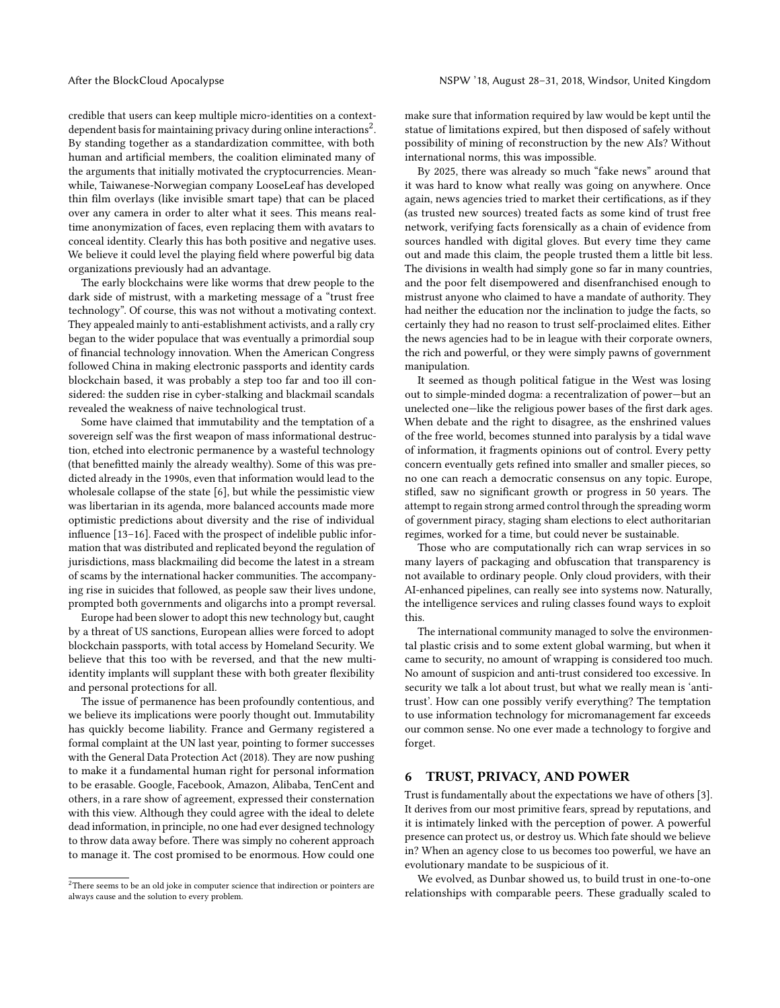credible that users can keep multiple micro-identities on a context-dependent basis for maintaining privacy during online interactions<sup>[2](#page-4-0)</sup>. By standing together as a standardization committee, with both human and artificial members, the coalition eliminated many of the arguments that initially motivated the cryptocurrencies. Meanwhile, Taiwanese-Norwegian company LooseLeaf has developed thin film overlays (like invisible smart tape) that can be placed over any camera in order to alter what it sees. This means realtime anonymization of faces, even replacing them with avatars to conceal identity. Clearly this has both positive and negative uses. We believe it could level the playing field where powerful big data organizations previously had an advantage.

The early blockchains were like worms that drew people to the dark side of mistrust, with a marketing message of a "trust free technology". Of course, this was not without a motivating context. They appealed mainly to anti-establishment activists, and a rally cry began to the wider populace that was eventually a primordial soup of financial technology innovation. When the American Congress followed China in making electronic passports and identity cards blockchain based, it was probably a step too far and too ill considered: the sudden rise in cyber-stalking and blackmail scandals revealed the weakness of naive technological trust.

Some have claimed that immutability and the temptation of a sovereign self was the first weapon of mass informational destruction, etched into electronic permanence by a wasteful technology (that benefitted mainly the already wealthy). Some of this was predicted already in the 1990s, even that information would lead to the wholesale collapse of the state [\[6\]](#page-6-13), but while the pessimistic view was libertarian in its agenda, more balanced accounts made more optimistic predictions about diversity and the rise of individual influence [\[13](#page-6-14)[–16\]](#page-6-15). Faced with the prospect of indelible public information that was distributed and replicated beyond the regulation of jurisdictions, mass blackmailing did become the latest in a stream of scams by the international hacker communities. The accompanying rise in suicides that followed, as people saw their lives undone, prompted both governments and oligarchs into a prompt reversal.

Europe had been slower to adopt this new technology but, caught by a threat of US sanctions, European allies were forced to adopt blockchain passports, with total access by Homeland Security. We believe that this too with be reversed, and that the new multiidentity implants will supplant these with both greater flexibility and personal protections for all.

The issue of permanence has been profoundly contentious, and we believe its implications were poorly thought out. Immutability has quickly become liability. France and Germany registered a formal complaint at the UN last year, pointing to former successes with the General Data Protection Act (2018). They are now pushing to make it a fundamental human right for personal information to be erasable. Google, Facebook, Amazon, Alibaba, TenCent and others, in a rare show of agreement, expressed their consternation with this view. Although they could agree with the ideal to delete dead information, in principle, no one had ever designed technology to throw data away before. There was simply no coherent approach to manage it. The cost promised to be enormous. How could one make sure that information required by law would be kept until the statue of limitations expired, but then disposed of safely without possibility of mining of reconstruction by the new AIs? Without international norms, this was impossible.

By 2025, there was already so much "fake news" around that it was hard to know what really was going on anywhere. Once again, news agencies tried to market their certifications, as if they (as trusted new sources) treated facts as some kind of trust free network, verifying facts forensically as a chain of evidence from sources handled with digital gloves. But every time they came out and made this claim, the people trusted them a little bit less. The divisions in wealth had simply gone so far in many countries, and the poor felt disempowered and disenfranchised enough to mistrust anyone who claimed to have a mandate of authority. They had neither the education nor the inclination to judge the facts, so certainly they had no reason to trust self-proclaimed elites. Either the news agencies had to be in league with their corporate owners, the rich and powerful, or they were simply pawns of government manipulation.

It seemed as though political fatigue in the West was losing out to simple-minded dogma: a recentralization of power—but an unelected one—like the religious power bases of the first dark ages. When debate and the right to disagree, as the enshrined values of the free world, becomes stunned into paralysis by a tidal wave of information, it fragments opinions out of control. Every petty concern eventually gets refined into smaller and smaller pieces, so no one can reach a democratic consensus on any topic. Europe, stifled, saw no significant growth or progress in 50 years. The attempt to regain strong armed control through the spreading worm of government piracy, staging sham elections to elect authoritarian regimes, worked for a time, but could never be sustainable.

Those who are computationally rich can wrap services in so many layers of packaging and obfuscation that transparency is not available to ordinary people. Only cloud providers, with their AI-enhanced pipelines, can really see into systems now. Naturally, the intelligence services and ruling classes found ways to exploit this.

The international community managed to solve the environmental plastic crisis and to some extent global warming, but when it came to security, no amount of wrapping is considered too much. No amount of suspicion and anti-trust considered too excessive. In security we talk a lot about trust, but what we really mean is 'antitrust'. How can one possibly verify everything? The temptation to use information technology for micromanagement far exceeds our common sense. No one ever made a technology to forgive and forget.

# 6 TRUST, PRIVACY, AND POWER

Trust is fundamentally about the expectations we have of others [\[3\]](#page-6-16). It derives from our most primitive fears, spread by reputations, and it is intimately linked with the perception of power. A powerful presence can protect us, or destroy us. Which fate should we believe in? When an agency close to us becomes too powerful, we have an evolutionary mandate to be suspicious of it.

We evolved, as Dunbar showed us, to build trust in one-to-one relationships with comparable peers. These gradually scaled to

<span id="page-4-0"></span> ${\rm ^2}$  There seems to be an old joke in computer science that indirection or pointers are always cause and the solution to every problem.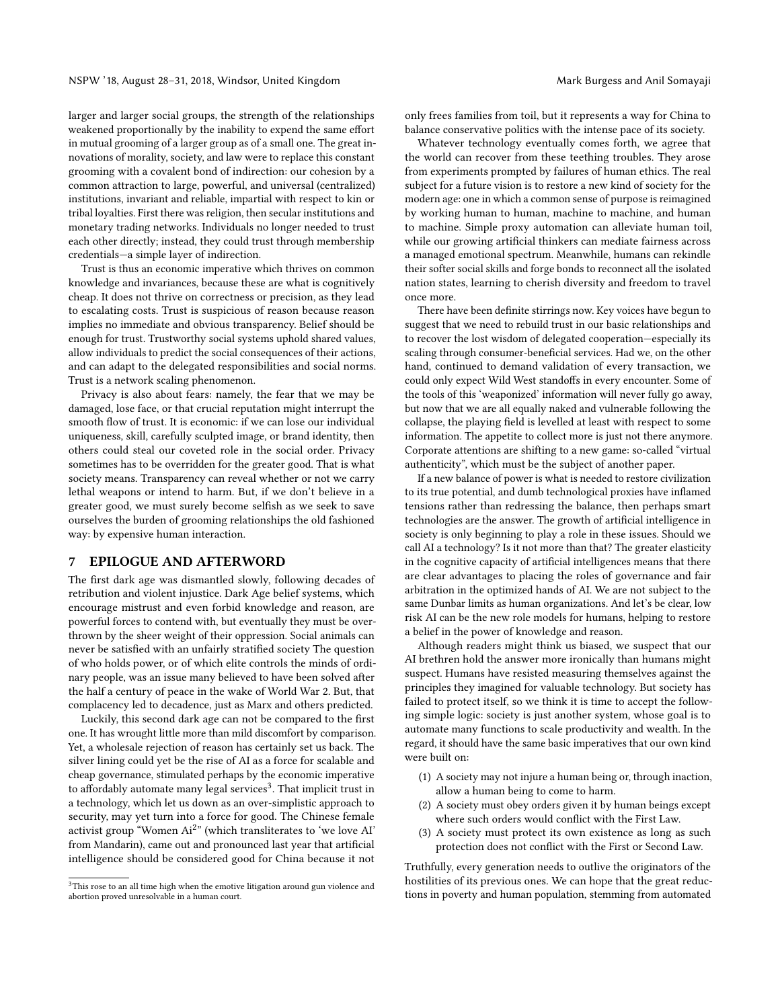larger and larger social groups, the strength of the relationships weakened proportionally by the inability to expend the same effort in mutual grooming of a larger group as of a small one. The great innovations of morality, society, and law were to replace this constant grooming with a covalent bond of indirection: our cohesion by a common attraction to large, powerful, and universal (centralized) institutions, invariant and reliable, impartial with respect to kin or tribal loyalties. First there was religion, then secular institutions and monetary trading networks. Individuals no longer needed to trust each other directly; instead, they could trust through membership credentials—a simple layer of indirection.

Trust is thus an economic imperative which thrives on common knowledge and invariances, because these are what is cognitively cheap. It does not thrive on correctness or precision, as they lead to escalating costs. Trust is suspicious of reason because reason implies no immediate and obvious transparency. Belief should be enough for trust. Trustworthy social systems uphold shared values, allow individuals to predict the social consequences of their actions, and can adapt to the delegated responsibilities and social norms. Trust is a network scaling phenomenon.

Privacy is also about fears: namely, the fear that we may be damaged, lose face, or that crucial reputation might interrupt the smooth flow of trust. It is economic: if we can lose our individual uniqueness, skill, carefully sculpted image, or brand identity, then others could steal our coveted role in the social order. Privacy sometimes has to be overridden for the greater good. That is what society means. Transparency can reveal whether or not we carry lethal weapons or intend to harm. But, if we don't believe in a greater good, we must surely become selfish as we seek to save ourselves the burden of grooming relationships the old fashioned way: by expensive human interaction.

#### 7 EPILOGUE AND AFTERWORD

The first dark age was dismantled slowly, following decades of retribution and violent injustice. Dark Age belief systems, which encourage mistrust and even forbid knowledge and reason, are powerful forces to contend with, but eventually they must be overthrown by the sheer weight of their oppression. Social animals can never be satisfied with an unfairly stratified society The question of who holds power, or of which elite controls the minds of ordinary people, was an issue many believed to have been solved after the half a century of peace in the wake of World War 2. But, that complacency led to decadence, just as Marx and others predicted.

Luckily, this second dark age can not be compared to the first one. It has wrought little more than mild discomfort by comparison. Yet, a wholesale rejection of reason has certainly set us back. The silver lining could yet be the rise of AI as a force for scalable and cheap governance, stimulated perhaps by the economic imperative to affordably automate many legal services $^3$  $^3$ . That implicit trust in a technology, which let us down as an over-simplistic approach to security, may yet turn into a force for good. The Chinese female activist group "Women Ai<sup>2</sup>" (which transliterates to 'we love AI' from Mandarin), came out and pronounced last year that artificial intelligence should be considered good for China because it not

only frees families from toil, but it represents a way for China to balance conservative politics with the intense pace of its society.

Whatever technology eventually comes forth, we agree that the world can recover from these teething troubles. They arose from experiments prompted by failures of human ethics. The real subject for a future vision is to restore a new kind of society for the modern age: one in which a common sense of purpose is reimagined by working human to human, machine to machine, and human to machine. Simple proxy automation can alleviate human toil, while our growing artificial thinkers can mediate fairness across a managed emotional spectrum. Meanwhile, humans can rekindle their softer social skills and forge bonds to reconnect all the isolated nation states, learning to cherish diversity and freedom to travel once more.

There have been definite stirrings now. Key voices have begun to suggest that we need to rebuild trust in our basic relationships and to recover the lost wisdom of delegated cooperation—especially its scaling through consumer-beneficial services. Had we, on the other hand, continued to demand validation of every transaction, we could only expect Wild West standoffs in every encounter. Some of the tools of this 'weaponized' information will never fully go away, but now that we are all equally naked and vulnerable following the collapse, the playing field is levelled at least with respect to some information. The appetite to collect more is just not there anymore. Corporate attentions are shifting to a new game: so-called "virtual authenticity", which must be the subject of another paper.

If a new balance of power is what is needed to restore civilization to its true potential, and dumb technological proxies have inflamed tensions rather than redressing the balance, then perhaps smart technologies are the answer. The growth of artificial intelligence in society is only beginning to play a role in these issues. Should we call AI a technology? Is it not more than that? The greater elasticity in the cognitive capacity of artificial intelligences means that there are clear advantages to placing the roles of governance and fair arbitration in the optimized hands of AI. We are not subject to the same Dunbar limits as human organizations. And let's be clear, low risk AI can be the new role models for humans, helping to restore a belief in the power of knowledge and reason.

Although readers might think us biased, we suspect that our AI brethren hold the answer more ironically than humans might suspect. Humans have resisted measuring themselves against the principles they imagined for valuable technology. But society has failed to protect itself, so we think it is time to accept the following simple logic: society is just another system, whose goal is to automate many functions to scale productivity and wealth. In the regard, it should have the same basic imperatives that our own kind were built on:

- (1) A society may not injure a human being or, through inaction, allow a human being to come to harm.
- (2) A society must obey orders given it by human beings except where such orders would conflict with the First Law.
- (3) A society must protect its own existence as long as such protection does not conflict with the First or Second Law.

Truthfully, every generation needs to outlive the originators of the hostilities of its previous ones. We can hope that the great reductions in poverty and human population, stemming from automated

<span id="page-5-0"></span> ${}^{3}{\rm This}$  rose to an all time high when the emotive litigation around gun violence and abortion proved unresolvable in a human court.